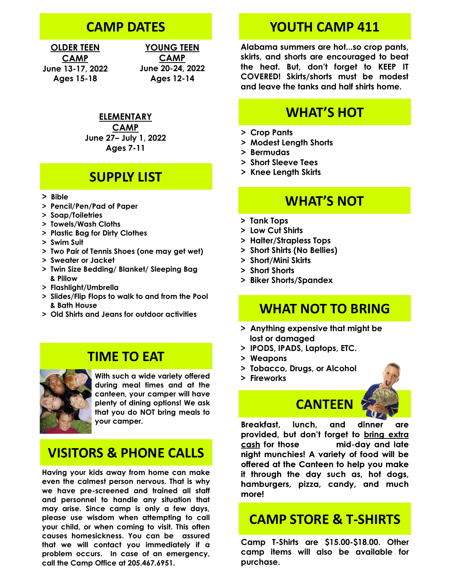### **CAMP DATES**

**OLDER TEEN CAMP June 13-17, 2022 Ages 15-18**

**YOUNG TEEN CAMP June 20-24, 2022 Ages 12-14**

**ELEMENTARY** 

**CAMP June 27– July 1, 2022 Ages 7-11**

#### **SUPPLY LIST**

- **> Bible**
- **> Pencil/Pen/Pad of Paper**
- **> Soap/Toiletries**
- **> Towels/Wash Cloths**
- **> Plastic Bag for Dirty Clothes**
- **> Swim Suit**
- **> Two Pair of Tennis Shoes (one may get wet)**
- **> Sweater or Jacket**
- **> Twin Size Bedding/ Blanket/ Sleeping Bag & Pillow**
- **> Flashlight/Umbrella**
- **> Slides/Flip Flops to walk to and from the Pool & Bath House**
- **> Old Shirts and Jeans for outdoor activities**

#### **TIME TO EAT**



**With such a wide variety offered during meal times and at the canteen, your camper will have plenty of dining options! We ask that you do NOT bring meals to your camper.**

### **VISITORS & PHONE CALLS**

**Having your kids away from home can make even the calmest person nervous. That is why we have pre-screened and trained all staff and personnel to handle any situation that may arise. Since camp is only a few days, please use wisdom when attempting to call your child, or when coming to visit. This often causes homesickness. You can be assured that we will contact you immediately if a problem occurs. In case of an emergency, call the Camp Office at 205.467.6951.**

#### **YOUTH CAMP 411**

**Alabama summers are hot...so crop pants, skirts, and shorts are encouraged to beat the heat. But, don't forget to KEEP IT COVERED! Skirts/shorts must be modest and leave the tanks and half shirts home.**

## **WHAT'S HOT**

- **> Crop Pants**
- **> Modest Length Shorts**
- **> Bermudas**
- **> Short Sleeve Tees**
- **> Knee Length Skirts**

#### **WHAT'S NOT**

- **> Tank Tops**
- **> Low Cut Shirts**
- **> Halter/Strapless Tops**
- **> Short Shirts (No Bellies)**
- **> Short/Mini Skirts**
- **> Short Shorts**
- **> Biker Shorts/Spandex**

#### **WHAT NOT TO BRING**

- **> Anything expensive that might be lost or damaged**
- **> IPODS, IPADS, Laptops, ETC.**
- **> Weapons**
- **> Tobacco, Drugs, or Alcohol**
- **> Fireworks**



**Breakfast.** lunch. and dinner are provided, but don't forget to bring extra cash for those mid-day and late night munchies! A variety of food will be offered at the Canteen to help you make it through the day such as, hot dogs, hamburgers, pizza, candy, and much more!

#### **CAMP STORE & T-SHIRTS**

**Camp T-Shirts are \$15.00-\$18.00. Other camp items will also be available for purchase.**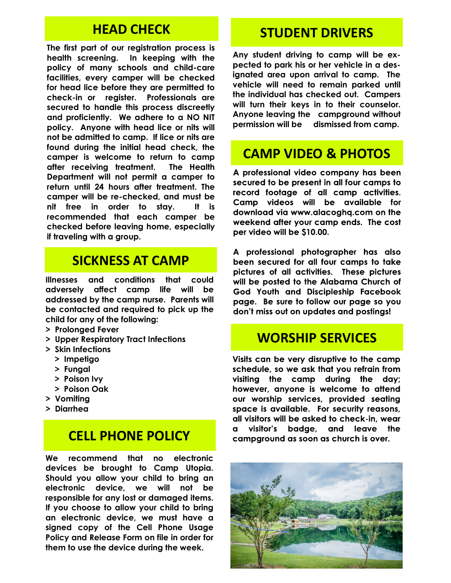### **HEAD CHECK**

**The first part of our registration process is health screening. In keeping with the policy of many schools and child-care facilities, every camper will be checked for head lice before they are permitted to check-in or register. Professionals are secured to handle this process discreetly and proficiently. We adhere to a NO NIT policy. Anyone with head lice or nits will not be admitted to camp. If lice or nits are found during the initial head check, the camper is welcome to return to camp after receiving treatment. The Health Department will not permit a camper to return until 24 hours after treatment. The camper will be re-checked, and must be nit free in order to stay. It is recommended that each camper be checked before leaving home, especially if traveling with a group.** 

### **SICKNESS AT CAMP**

**Illnesses and conditions that could adversely affect camp life will be addressed by the camp nurse. Parents will be contacted and required to pick up the child for any of the following:**

- **> Prolonged Fever**
- **> Upper Respiratory Tract Infections**
- **> Skin Infections**
	- **> Impetigo**
	- **> Fungal**
	- **> Poison Ivy**
	- **> Poison Oak**
- **> Vomiting**
- **> Diarrhea**

## **CELL PHONE POLICY**

**We recommend that no electronic devices be brought to Camp Utopia. Should you allow your child to bring an electronic device, we will not be responsible for any lost or damaged items. If you choose to allow your child to bring an electronic device, we must have a signed copy of the Cell Phone Usage Policy and Release Form on file in order for them to use the device during the week.** 

#### **STUDENT DRIVERS**

**Any student driving to camp will be expected to park his or her vehicle in a designated area upon arrival to camp. The vehicle will need to remain parked until the individual has checked out. Campers will turn their keys in to their counselor. Anyone leaving the campground without permission will be dismissed from camp.**

## **CAMP VIDEO & PHOTOS**

A professional video company has been secured to be present in all four camps to record footage of all camp activities. Camp videos will be available for download via www.alacogha.com on the weekend after your camp ends. The cost per video will be \$10.00.

A professional photographer has also been secured for all four camps to take pictures of all activities. These pictures will be posted to the Alabama Church of God Youth and Discipleship Facebook page. Be sure to follow our page so you don't miss out on updates and postings!

### **WORSHIP SERVICES**

Visits can be very disruptive to the camp schedule, so we ask that you refrain from visiting the camp during the day; however, anyone is welcome to attend our worship services, provided seating space is available. For security reasons, all visitors will be asked to check-in, wear visitor's badge, and leave the  $\mathbf{a}$ camparound as soon as church is over.